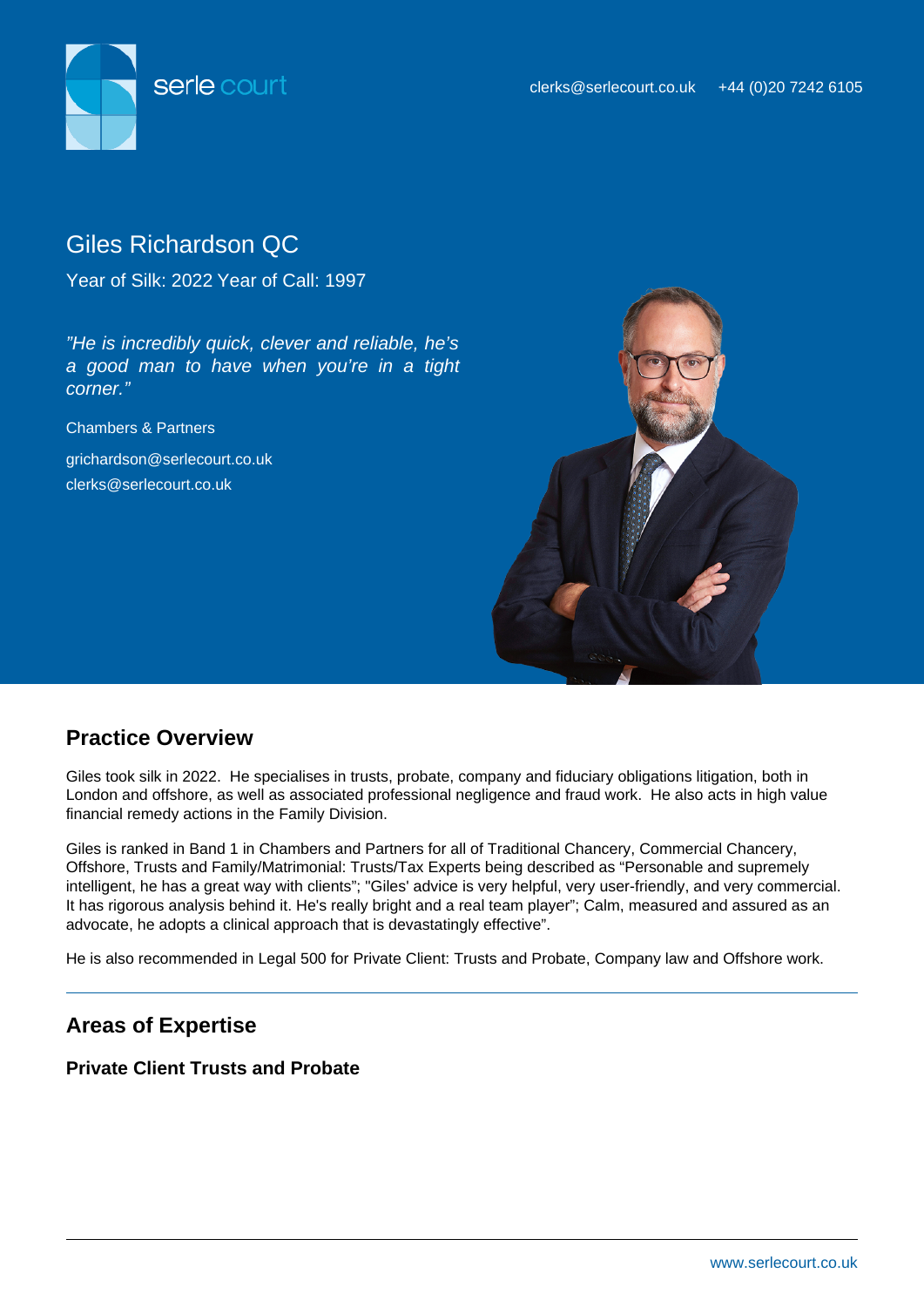

# Giles Richardson QC

Year of Silk: 2022 Year of Call: 1997

"He is incredibly quick, clever and reliable, he's a good man to have when you're in a tight corner."

Chambers & Partners

grichardson@serlecourt.co.uk clerks@serlecourt.co.uk



## **Practice Overview**

Giles took silk in 2022. He specialises in trusts, probate, company and fiduciary obligations litigation, both in London and offshore, as well as associated professional negligence and fraud work. He also acts in high value financial remedy actions in the Family Division.

Giles is ranked in Band 1 in Chambers and Partners for all of Traditional Chancery, Commercial Chancery, Offshore, Trusts and Family/Matrimonial: Trusts/Tax Experts being described as "Personable and supremely intelligent, he has a great way with clients"; "Giles' advice is very helpful, very user-friendly, and very commercial. It has rigorous analysis behind it. He's really bright and a real team player"; Calm, measured and assured as an advocate, he adopts a clinical approach that is devastatingly effective".

He is also recommended in Legal 500 for Private Client: Trusts and Probate, Company law and Offshore work.

## **Areas of Expertise**

## **Private Client Trusts and Probate**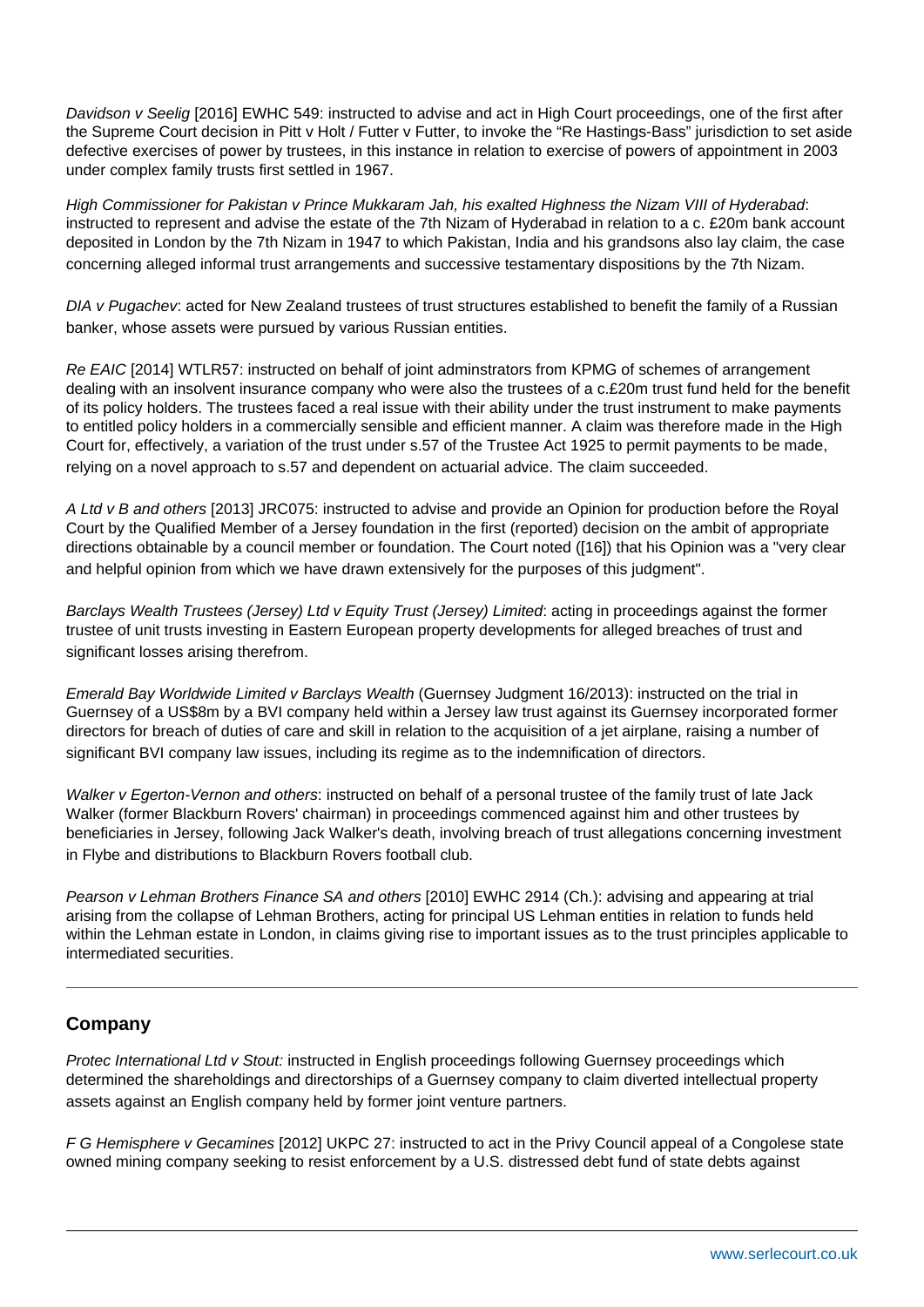Davidson v Seelig [2016] EWHC 549: instructed to advise and act in High Court proceedings, one of the first after the Supreme Court decision in Pitt v Holt / Futter v Futter, to invoke the "Re Hastings-Bass" jurisdiction to set aside defective exercises of power by trustees, in this instance in relation to exercise of powers of appointment in 2003 under complex family trusts first settled in 1967.

High Commissioner for Pakistan v Prince Mukkaram Jah, his exalted Highness the Nizam VIII of Hyderabad: instructed to represent and advise the estate of the 7th Nizam of Hyderabad in relation to a c. £20m bank account deposited in London by the 7th Nizam in 1947 to which Pakistan, India and his grandsons also lay claim, the case concerning alleged informal trust arrangements and successive testamentary dispositions by the 7th Nizam.

DIA v Pugachev: acted for New Zealand trustees of trust structures established to benefit the family of a Russian banker, whose assets were pursued by various Russian entities.

Re EAIC [2014] WTLR57: instructed on behalf of joint adminstrators from KPMG of schemes of arrangement dealing with an insolvent insurance company who were also the trustees of a c.£20m trust fund held for the benefit of its policy holders. The trustees faced a real issue with their ability under the trust instrument to make payments to entitled policy holders in a commercially sensible and efficient manner. A claim was therefore made in the High Court for, effectively, a variation of the trust under s.57 of the Trustee Act 1925 to permit payments to be made, relying on a novel approach to s.57 and dependent on actuarial advice. The claim succeeded.

A Ltd v B and others [2013] JRC075: instructed to advise and provide an Opinion for production before the Royal Court by the Qualified Member of a Jersey foundation in the first (reported) decision on the ambit of appropriate directions obtainable by a council member or foundation. The Court noted ([16]) that his Opinion was a "very clear and helpful opinion from which we have drawn extensively for the purposes of this judgment".

Barclays Wealth Trustees (Jersey) Ltd v Equity Trust (Jersey) Limited: acting in proceedings against the former trustee of unit trusts investing in Eastern European property developments for alleged breaches of trust and significant losses arising therefrom.

Emerald Bay Worldwide Limited v Barclays Wealth (Guernsey Judgment 16/2013): instructed on the trial in Guernsey of a US\$8m by a BVI company held within a Jersey law trust against its Guernsey incorporated former directors for breach of duties of care and skill in relation to the acquisition of a jet airplane, raising a number of significant BVI company law issues, including its regime as to the indemnification of directors.

Walker v Egerton-Vernon and others: instructed on behalf of a personal trustee of the family trust of late Jack Walker (former Blackburn Rovers' chairman) in proceedings commenced against him and other trustees by beneficiaries in Jersey, following Jack Walker's death, involving breach of trust allegations concerning investment in Flybe and distributions to Blackburn Rovers football club.

Pearson v Lehman Brothers Finance SA and others [2010] EWHC 2914 (Ch.): advising and appearing at trial arising from the collapse of Lehman Brothers, acting for principal US Lehman entities in relation to funds held within the Lehman estate in London, in claims giving rise to important issues as to the trust principles applicable to intermediated securities.

## **Company**

Protec International Ltd v Stout: instructed in English proceedings following Guernsey proceedings which determined the shareholdings and directorships of a Guernsey company to claim diverted intellectual property assets against an English company held by former joint venture partners.

F G Hemisphere v Gecamines [2012] UKPC 27: instructed to act in the Privy Council appeal of a Congolese state owned mining company seeking to resist enforcement by a U.S. distressed debt fund of state debts against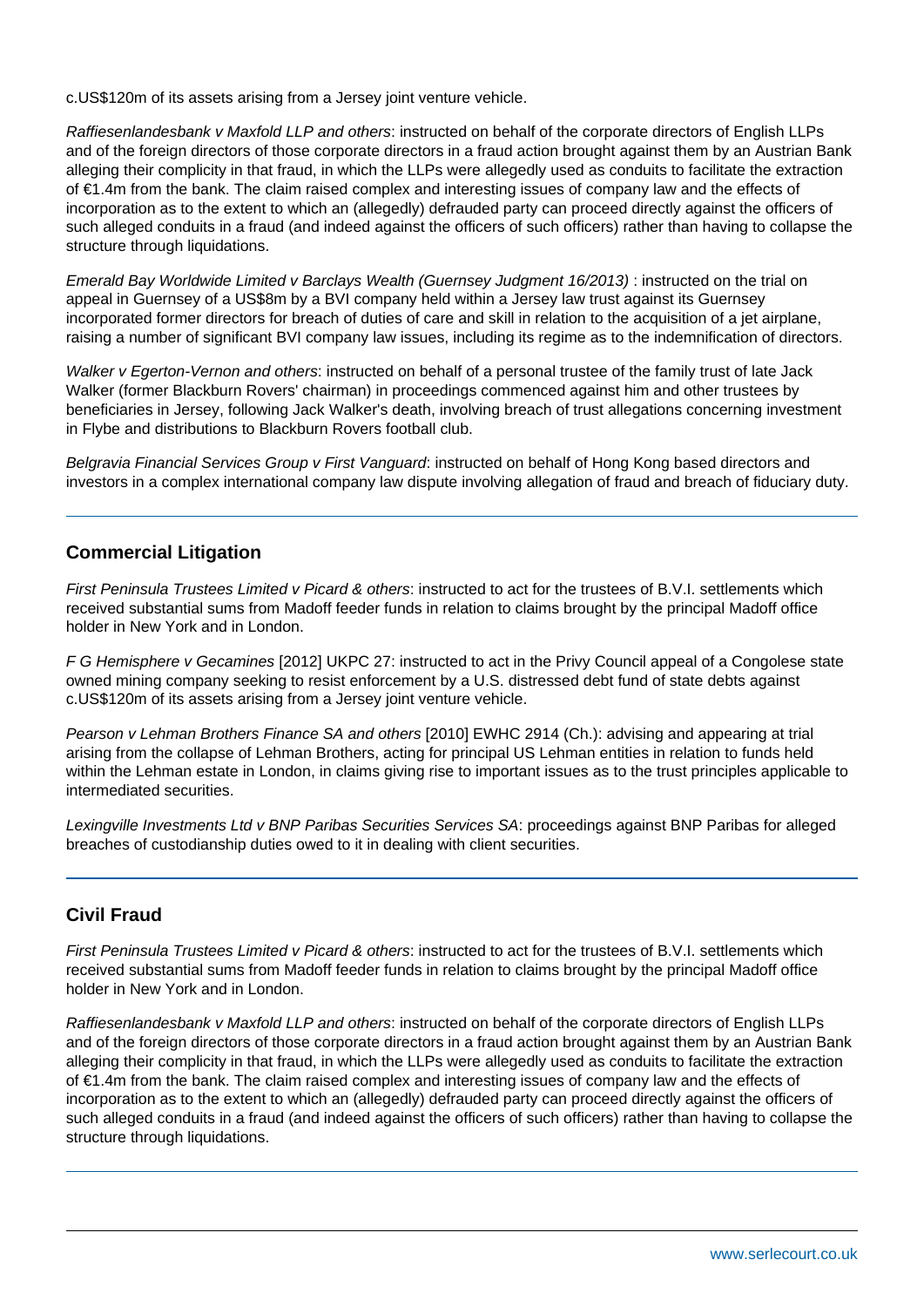c.US\$120m of its assets arising from a Jersey joint venture vehicle.

Raffiesenlandesbank v Maxfold LLP and others: instructed on behalf of the corporate directors of English LLPs and of the foreign directors of those corporate directors in a fraud action brought against them by an Austrian Bank alleging their complicity in that fraud, in which the LLPs were allegedly used as conduits to facilitate the extraction of €1.4m from the bank. The claim raised complex and interesting issues of company law and the effects of incorporation as to the extent to which an (allegedly) defrauded party can proceed directly against the officers of such alleged conduits in a fraud (and indeed against the officers of such officers) rather than having to collapse the structure through liquidations.

Emerald Bay Worldwide Limited v Barclays Wealth (Guernsey Judgment 16/2013) : instructed on the trial on appeal in Guernsey of a US\$8m by a BVI company held within a Jersey law trust against its Guernsey incorporated former directors for breach of duties of care and skill in relation to the acquisition of a jet airplane, raising a number of significant BVI company law issues, including its regime as to the indemnification of directors.

Walker v Egerton-Vernon and others: instructed on behalf of a personal trustee of the family trust of late Jack Walker (former Blackburn Rovers' chairman) in proceedings commenced against him and other trustees by beneficiaries in Jersey, following Jack Walker's death, involving breach of trust allegations concerning investment in Flybe and distributions to Blackburn Rovers football club.

Belgravia Financial Services Group v First Vanguard: instructed on behalf of Hong Kong based directors and investors in a complex international company law dispute involving allegation of fraud and breach of fiduciary duty.

#### **Commercial Litigation**

First Peninsula Trustees Limited v Picard & others: instructed to act for the trustees of B.V.I. settlements which received substantial sums from Madoff feeder funds in relation to claims brought by the principal Madoff office holder in New York and in London.

F G Hemisphere v Gecamines [2012] UKPC 27: instructed to act in the Privy Council appeal of a Congolese state owned mining company seeking to resist enforcement by a U.S. distressed debt fund of state debts against c.US\$120m of its assets arising from a Jersey joint venture vehicle.

Pearson v Lehman Brothers Finance SA and others [2010] EWHC 2914 (Ch.): advising and appearing at trial arising from the collapse of Lehman Brothers, acting for principal US Lehman entities in relation to funds held within the Lehman estate in London, in claims giving rise to important issues as to the trust principles applicable to intermediated securities.

Lexingville Investments Ltd v BNP Paribas Securities Services SA: proceedings against BNP Paribas for alleged breaches of custodianship duties owed to it in dealing with client securities.

## **Civil Fraud**

First Peninsula Trustees Limited v Picard & others: instructed to act for the trustees of B.V.I. settlements which received substantial sums from Madoff feeder funds in relation to claims brought by the principal Madoff office holder in New York and in London.

Raffiesenlandesbank v Maxfold LLP and others: instructed on behalf of the corporate directors of English LLPs and of the foreign directors of those corporate directors in a fraud action brought against them by an Austrian Bank alleging their complicity in that fraud, in which the LLPs were allegedly used as conduits to facilitate the extraction of €1.4m from the bank. The claim raised complex and interesting issues of company law and the effects of incorporation as to the extent to which an (allegedly) defrauded party can proceed directly against the officers of such alleged conduits in a fraud (and indeed against the officers of such officers) rather than having to collapse the structure through liquidations.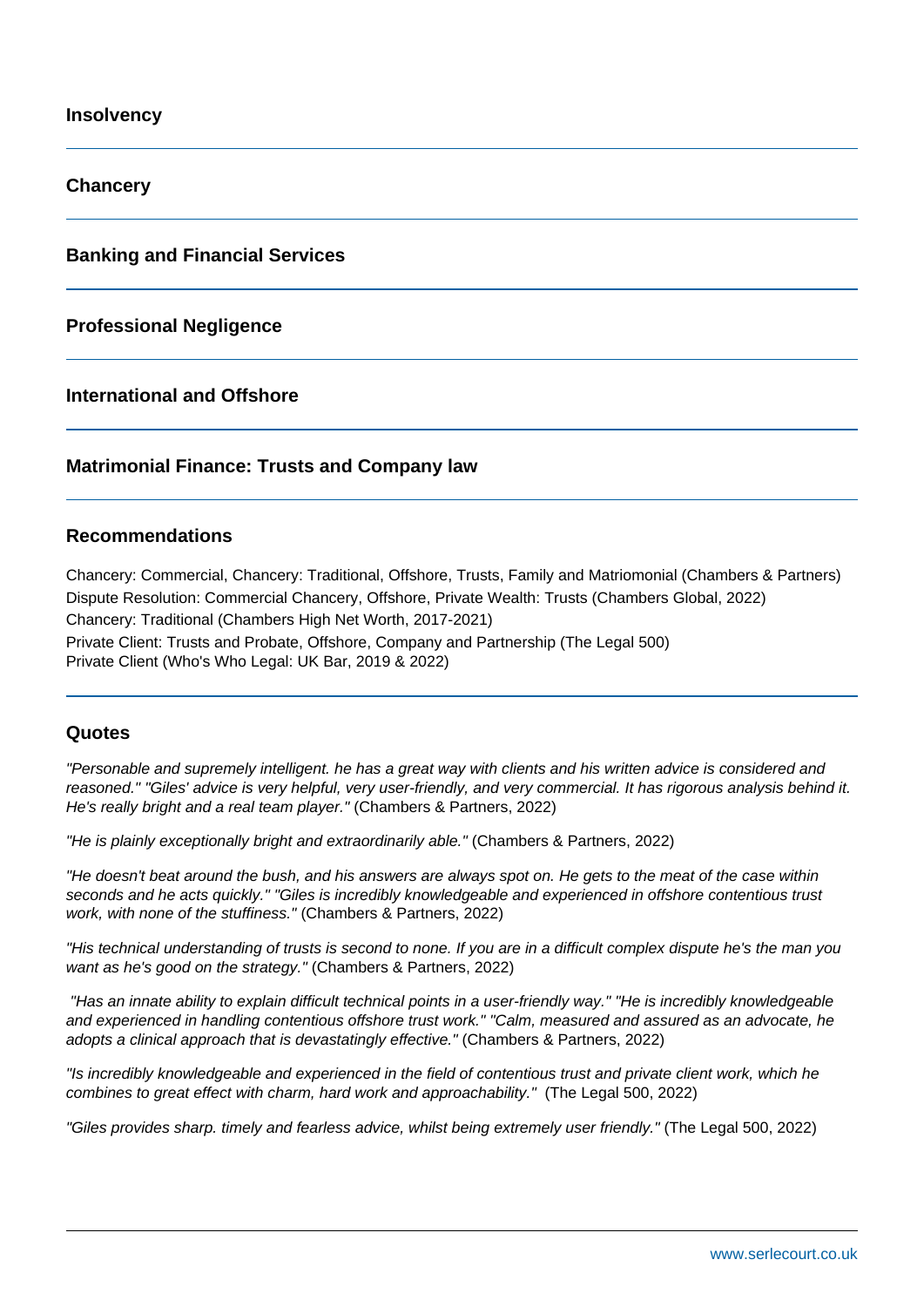**Insolvency**

**Chancery**

**Banking and Financial Services**

**Professional Negligence**

**International and Offshore**

#### **Matrimonial Finance: Trusts and Company law**

#### **Recommendations**

Chancery: Commercial, Chancery: Traditional, Offshore, Trusts, Family and Matriomonial (Chambers & Partners) Dispute Resolution: Commercial Chancery, Offshore, Private Wealth: Trusts (Chambers Global, 2022) Chancery: Traditional (Chambers High Net Worth, 2017-2021) Private Client: Trusts and Probate, Offshore, Company and Partnership (The Legal 500) Private Client (Who's Who Legal: UK Bar, 2019 & 2022)

#### **Quotes**

"Personable and supremely intelligent. he has a great way with clients and his written advice is considered and reasoned." "Giles' advice is very helpful, very user-friendly, and very commercial. It has rigorous analysis behind it. He's really bright and a real team player." (Chambers & Partners, 2022)

"He is plainly exceptionally bright and extraordinarily able." (Chambers & Partners, 2022)

"He doesn't beat around the bush, and his answers are always spot on. He gets to the meat of the case within seconds and he acts quickly." "Giles is incredibly knowledgeable and experienced in offshore contentious trust work, with none of the stuffiness." (Chambers & Partners, 2022)

"His technical understanding of trusts is second to none. If you are in a difficult complex dispute he's the man you want as he's good on the strategy." (Chambers & Partners, 2022)

 "Has an innate ability to explain difficult technical points in a user-friendly way." "He is incredibly knowledgeable and experienced in handling contentious offshore trust work." "Calm, measured and assured as an advocate, he adopts a clinical approach that is devastatingly effective." (Chambers & Partners, 2022)

"Is incredibly knowledgeable and experienced in the field of contentious trust and private client work, which he combines to great effect with charm, hard work and approachability." (The Legal 500, 2022)

"Giles provides sharp. timely and fearless advice, whilst being extremely user friendly." (The Legal 500, 2022)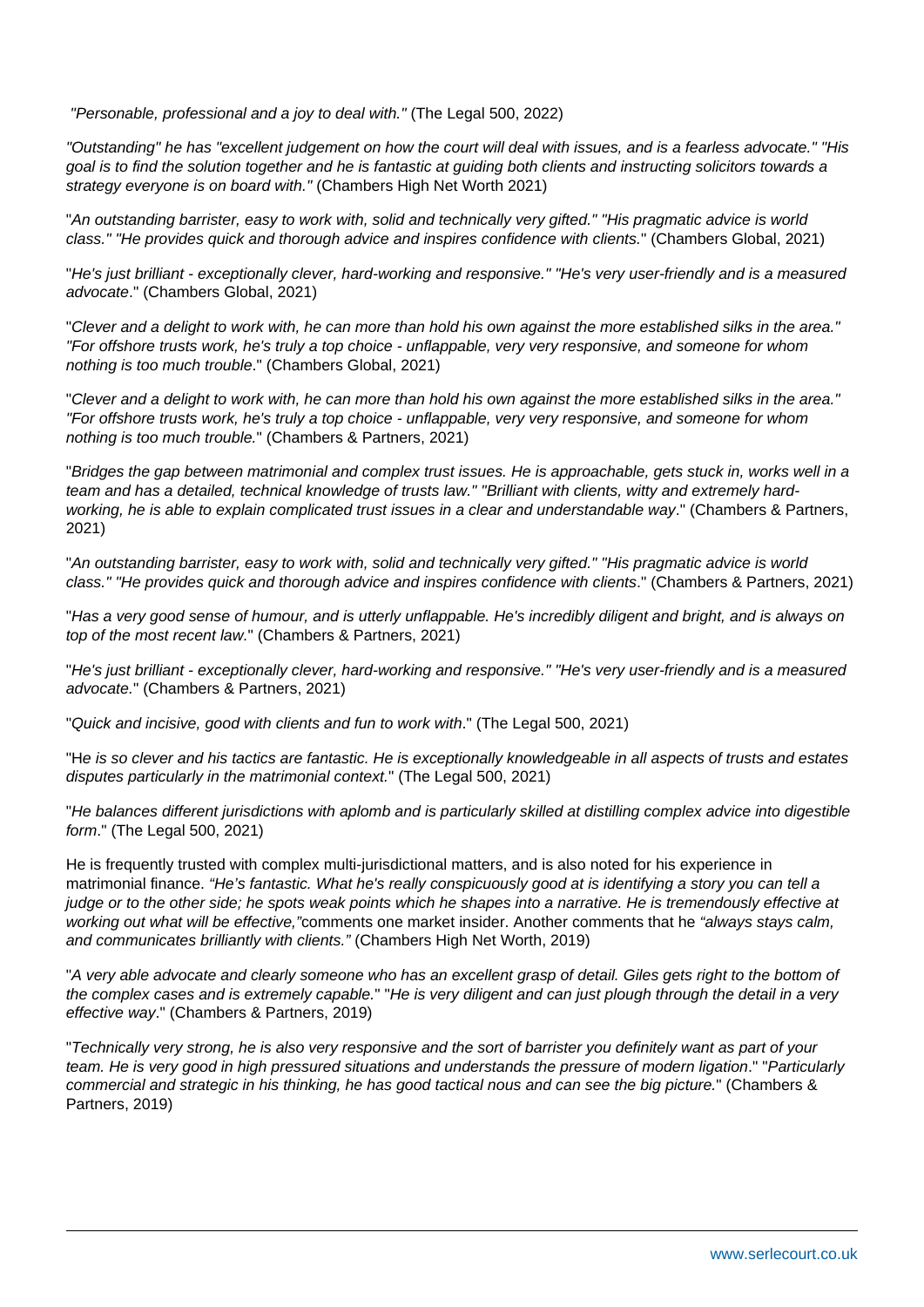"Personable, professional and a joy to deal with." (The Legal 500, 2022)

"Outstanding" he has "excellent judgement on how the court will deal with issues, and is a fearless advocate." "His goal is to find the solution together and he is fantastic at guiding both clients and instructing solicitors towards a strategy everyone is on board with." (Chambers High Net Worth 2021)

"An outstanding barrister, easy to work with, solid and technically very gifted." "His pragmatic advice is world class." "He provides quick and thorough advice and inspires confidence with clients." (Chambers Global, 2021)

"He's just brilliant - exceptionally clever, hard-working and responsive." "He's very user-friendly and is a measured advocate." (Chambers Global, 2021)

"Clever and a delight to work with, he can more than hold his own against the more established silks in the area." "For offshore trusts work, he's truly a top choice - unflappable, very very responsive, and someone for whom nothing is too much trouble." (Chambers Global, 2021)

"Clever and a delight to work with, he can more than hold his own against the more established silks in the area." "For offshore trusts work, he's truly a top choice - unflappable, very very responsive, and someone for whom nothing is too much trouble." (Chambers & Partners, 2021)

"Bridges the gap between matrimonial and complex trust issues. He is approachable, gets stuck in, works well in a team and has a detailed, technical knowledge of trusts law." "Brilliant with clients, witty and extremely hardworking, he is able to explain complicated trust issues in a clear and understandable way." (Chambers & Partners, 2021)

"An outstanding barrister, easy to work with, solid and technically very gifted." "His pragmatic advice is world class." "He provides quick and thorough advice and inspires confidence with clients." (Chambers & Partners, 2021)

"Has a very good sense of humour, and is utterly unflappable. He's incredibly diligent and bright, and is always on top of the most recent law." (Chambers & Partners, 2021)

"He's just brilliant - exceptionally clever, hard-working and responsive." "He's very user-friendly and is a measured advocate." (Chambers & Partners, 2021)

"Quick and incisive, good with clients and fun to work with." (The Legal 500, 2021)

"He is so clever and his tactics are fantastic. He is exceptionally knowledgeable in all aspects of trusts and estates disputes particularly in the matrimonial context." (The Legal 500, 2021)

"He balances different jurisdictions with aplomb and is particularly skilled at distilling complex advice into digestible form." (The Legal 500, 2021)

He is frequently trusted with complex multi-jurisdictional matters, and is also noted for his experience in matrimonial finance. "He's fantastic. What he's really conspicuously good at is identifying a story you can tell a judge or to the other side; he spots weak points which he shapes into a narrative. He is tremendously effective at working out what will be effective,"comments one market insider. Another comments that he "always stays calm, and communicates brilliantly with clients." (Chambers High Net Worth, 2019)

"A very able advocate and clearly someone who has an excellent grasp of detail. Giles gets right to the bottom of the complex cases and is extremely capable." "He is very diligent and can just plough through the detail in a very effective way." (Chambers & Partners, 2019)

"Technically very strong, he is also very responsive and the sort of barrister you definitely want as part of your team. He is very good in high pressured situations and understands the pressure of modern ligation." "Particularly commercial and strategic in his thinking, he has good tactical nous and can see the big picture." (Chambers & Partners, 2019)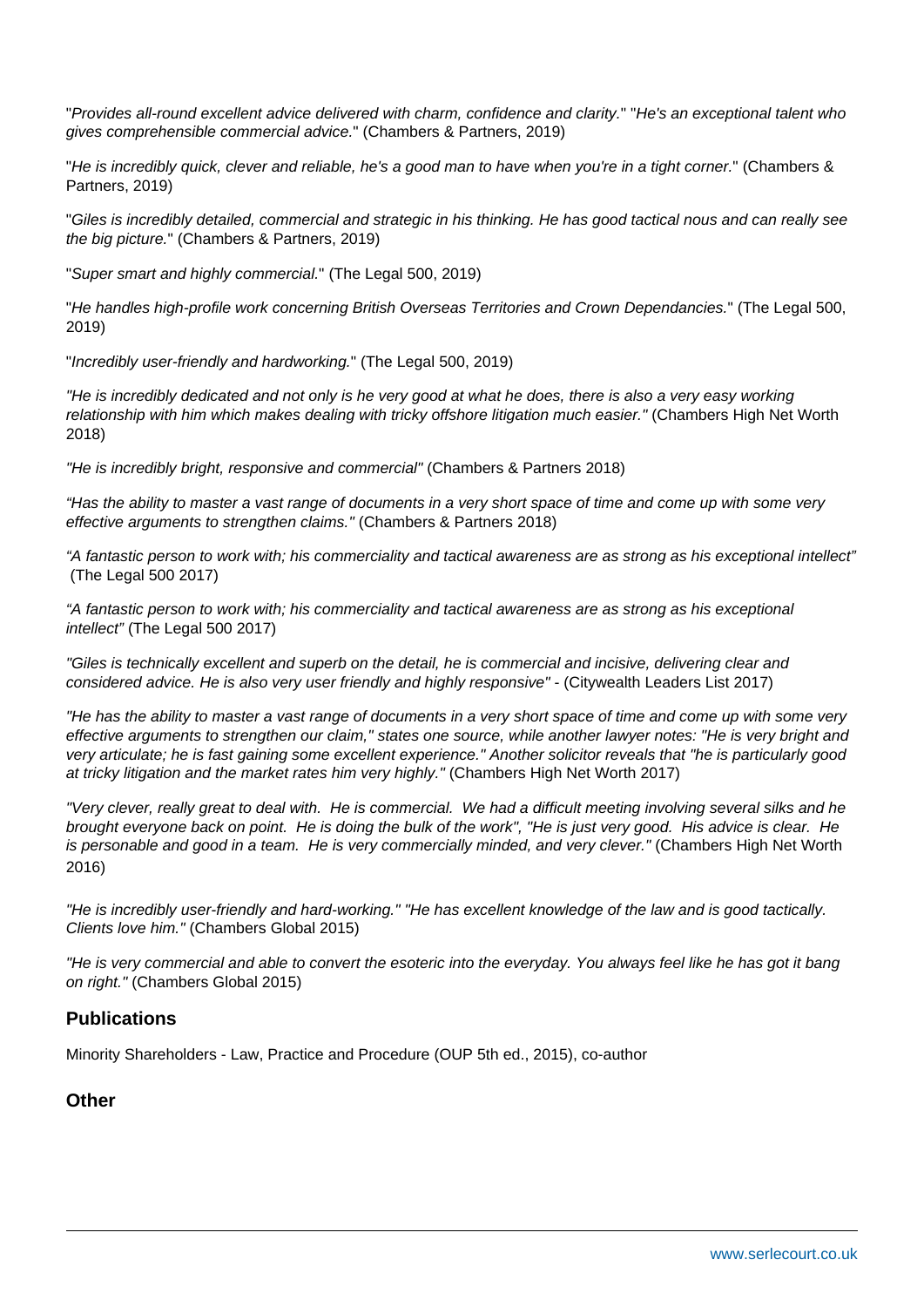"Provides all-round excellent advice delivered with charm, confidence and clarity." "He's an exceptional talent who gives comprehensible commercial advice." (Chambers & Partners, 2019)

"He is incredibly quick, clever and reliable, he's a good man to have when you're in a tight corner." (Chambers & Partners, 2019)

"Giles is incredibly detailed, commercial and strategic in his thinking. He has good tactical nous and can really see the big picture." (Chambers & Partners, 2019)

"Super smart and highly commercial." (The Legal 500, 2019)

"He handles high-profile work concerning British Overseas Territories and Crown Dependancies." (The Legal 500, 2019)

"Incredibly user-friendly and hardworking." (The Legal 500, 2019)

"He is incredibly dedicated and not only is he very good at what he does, there is also a very easy working relationship with him which makes dealing with tricky offshore litigation much easier." (Chambers High Net Worth 2018)

"He is incredibly bright, responsive and commercial" (Chambers & Partners 2018)

"Has the ability to master a vast range of documents in a very short space of time and come up with some very effective arguments to strengthen claims." (Chambers & Partners 2018)

"A fantastic person to work with; his commerciality and tactical awareness are as strong as his exceptional intellect" (The Legal 500 2017)

"A fantastic person to work with; his commerciality and tactical awareness are as strong as his exceptional intellect" (The Legal 500 2017)

"Giles is technically excellent and superb on the detail, he is commercial and incisive, delivering clear and considered advice. He is also very user friendly and highly responsive" - (Citywealth Leaders List 2017)

"He has the ability to master a vast range of documents in a very short space of time and come up with some very effective arguments to strengthen our claim," states one source, while another lawyer notes: "He is very bright and very articulate; he is fast gaining some excellent experience." Another solicitor reveals that "he is particularly good at tricky litigation and the market rates him very highly." (Chambers High Net Worth 2017)

"Very clever, really great to deal with. He is commercial. We had a difficult meeting involving several silks and he brought everyone back on point. He is doing the bulk of the work", "He is just very good. His advice is clear. He is personable and good in a team. He is very commercially minded, and very clever." (Chambers High Net Worth 2016)

"He is incredibly user-friendly and hard-working." "He has excellent knowledge of the law and is good tactically. Clients love him." (Chambers Global 2015)

"He is very commercial and able to convert the esoteric into the everyday. You always feel like he has got it bang on right." (Chambers Global 2015)

#### **Publications**

Minority Shareholders - Law, Practice and Procedure (OUP 5th ed., 2015), co-author

#### **Other**